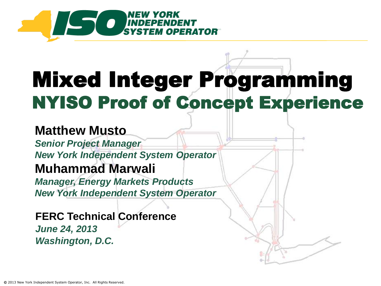

## Mixed Integer Programming NYISO Proof of Concept Experience

#### **Matthew Musto**

*Senior Project Manager New York Independent System Operator* **Muhammad Marwali** *Manager, Energy Markets Products*

*New York Independent System Operator*

**FERC Technical Conference** *June 24, 2013 Washington, D.C.*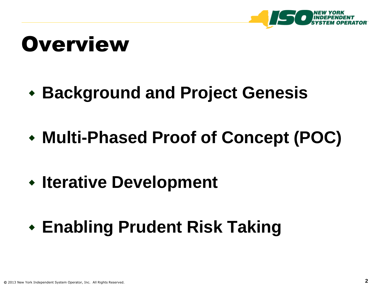

### **Overview**

### **Background and Project Genesis**

- **Multi-Phased Proof of Concept (POC)**
- **Iterative Development**
- **Enabling Prudent Risk Taking**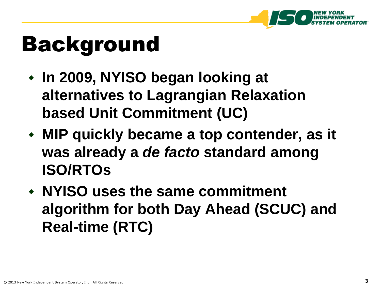

### Background

- **In 2009, NYISO began looking at alternatives to Lagrangian Relaxation based Unit Commitment (UC)**
- **MIP quickly became a top contender, as it was already a** *de facto* **standard among ISO/RTOs**
- **NYISO uses the same commitment algorithm for both Day Ahead (SCUC) and Real-time (RTC)**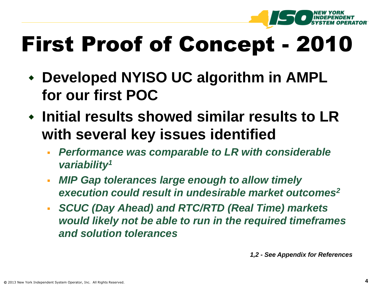

## First Proof of Concept - 2010

- **Developed NYISO UC algorithm in AMPL for our first POC**
- **Initial results showed similar results to LR with several key issues identified**
	- *Performance was comparable to LR with considerable variability<sup>1</sup>*
	- *MIP Gap tolerances large enough to allow timely execution could result in undesirable market outcomes<sup>2</sup>*
	- *SCUC (Day Ahead) and RTC/RTD (Real Time) markets would likely not be able to run in the required timeframes and solution tolerances*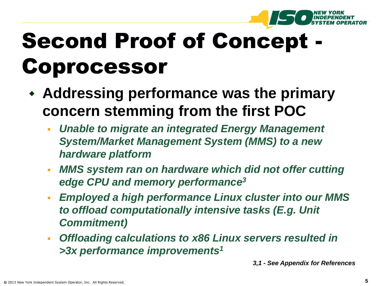

## Second Proof of Concept - Coprocessor

- **Addressing performance was the primary concern stemming from the first POC**
	- *Unable to migrate an integrated Energy Management System/Market Management System (MMS) to a new hardware platform*
	- *MMS system ran on hardware which did not offer cutting edge CPU and memory performance<sup>3</sup>*
	- *Employed a high performance Linux cluster into our MMS to offload computationally intensive tasks (E.g. Unit Commitment)*
	- *Offloading calculations to x86 Linux servers resulted in >3x performance improvements<sup>1</sup>*

*3,1 - See Appendix for References*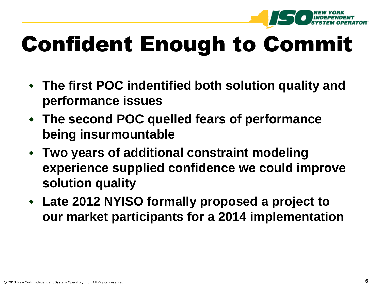

## Confident Enough to Commit

- **The first POC indentified both solution quality and performance issues**
- **The second POC quelled fears of performance being insurmountable**
- **Two years of additional constraint modeling experience supplied confidence we could improve solution quality**
- **Late 2012 NYISO formally proposed a project to our market participants for a 2014 implementation**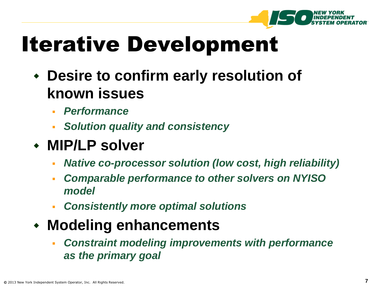

## Iterative Development

- **Desire to confirm early resolution of known issues**
	- *Performance*
	- *Solution quality and consistency*
- **MIP/LP solver**
	- *Native co-processor solution (low cost, high reliability)*
	- *Comparable performance to other solvers on NYISO model*
	- *Consistently more optimal solutions*
- **Modeling enhancements**
	- *Constraint modeling improvements with performance as the primary goal*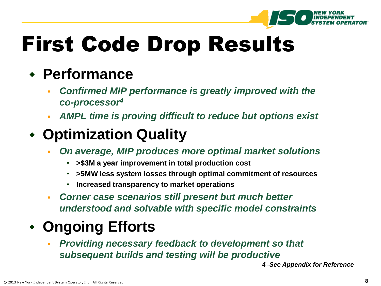

### First Code Drop Results

#### **Performance**

- *Confirmed MIP performance is greatly improved with the co-processor<sup>4</sup>*
- *AMPL time is proving difficult to reduce but options exist*

#### **Optimization Quality**

- *On average, MIP produces more optimal market solutions*
	- **>\$3M a year improvement in total production cost**
	- **>5MW less system losses through optimal commitment of resources**
	- **Increased transparency to market operations**
- *Corner case scenarios still present but much better understood and solvable with specific model constraints*

#### **Ongoing Efforts**

 *Providing necessary feedback to development so that subsequent builds and testing will be productive*

*4 -See Appendix for Reference*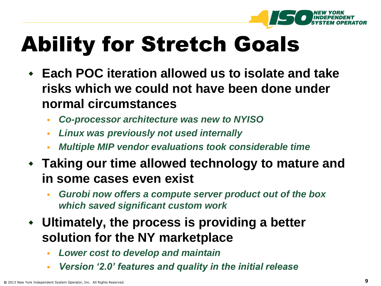

## Ability for Stretch Goals

- **Each POC iteration allowed us to isolate and take risks which we could not have been done under normal circumstances**
	- *Co-processor architecture was new to NYISO*
	- *Linux was previously not used internally*
	- *Multiple MIP vendor evaluations took considerable time*
- **Taking our time allowed technology to mature and in some cases even exist**
	- *Gurobi now offers a compute server product out of the box which saved significant custom work*
- **Ultimately, the process is providing a better solution for the NY marketplace** 
	- *Lower cost to develop and maintain*
	- *Version '2.0' features and quality in the initial release*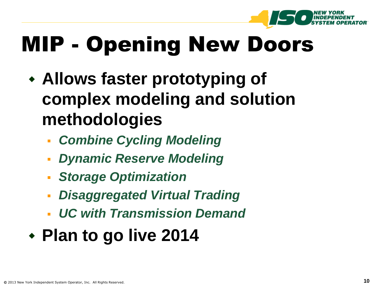

## MIP - Opening New Doors

- **Allows faster prototyping of complex modeling and solution methodologies** 
	- *Combine Cycling Modeling*
	- *Dynamic Reserve Modeling*
	- *Storage Optimization*
	- *Disaggregated Virtual Trading*
	- *UC with Transmission Demand*

### **Plan to go live 2014**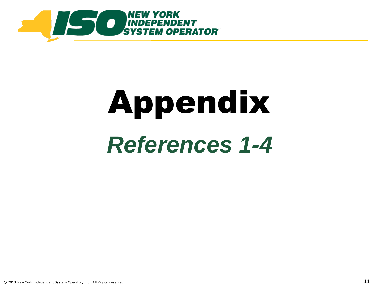

# Appendix *References 1-4*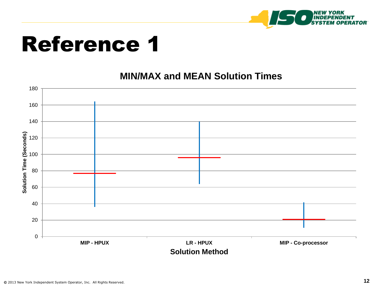

#### **MIN/MAX and MEAN Solution Times**

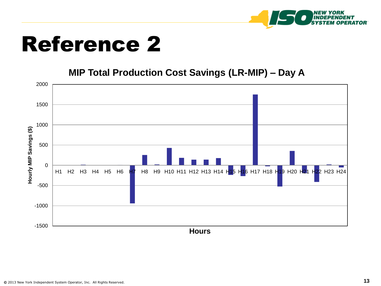

#### **MIP Total Production Cost Savings (LR-MIP) – Day A**

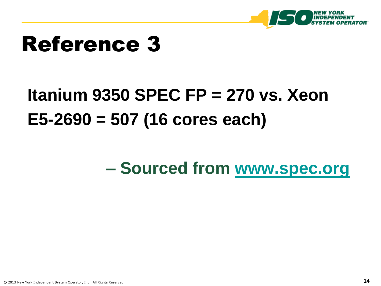

### **Itanium 9350 SPEC FP = 270 vs. Xeon E5-2690 = 507 (16 cores each)**

#### **– Sourced from [www.spec.org](http://www.spec.org/)**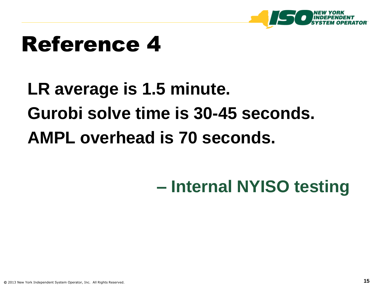

### **LR average is 1.5 minute. Gurobi solve time is 30-45 seconds. AMPL overhead is 70 seconds.**

### **– Internal NYISO testing**